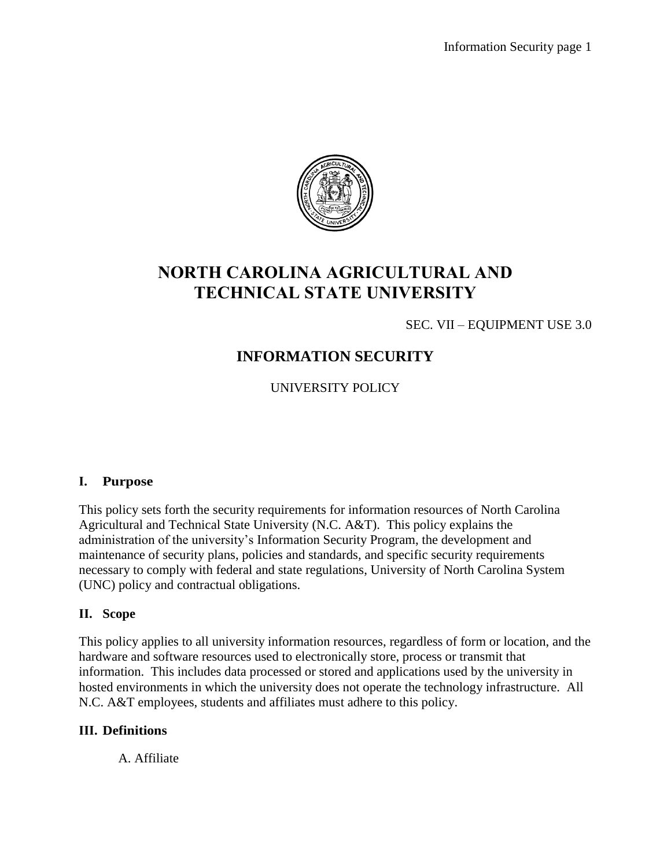

# **NORTH CAROLINA AGRICULTURAL AND TECHNICAL STATE UNIVERSITY**

SEC. VII – EQUIPMENT USE 3.0

# **INFORMATION SECURITY**

UNIVERSITY POLICY

# **I. Purpose**

This policy sets forth the security requirements for information resources of North Carolina Agricultural and Technical State University (N.C. A&T). This policy explains the administration of the university's Information Security Program, the development and maintenance of security plans, policies and standards, and specific security requirements necessary to comply with federal and state regulations, University of North Carolina System (UNC) policy and contractual obligations.

# **II. Scope**

This policy applies to all university information resources, regardless of form or location, and the hardware and software resources used to electronically store, process or transmit that information. This includes data processed or stored and applications used by the university in hosted environments in which the university does not operate the technology infrastructure. All N.C. A&T employees, students and affiliates must adhere to this policy.

# **III. Definitions**

A. Affiliate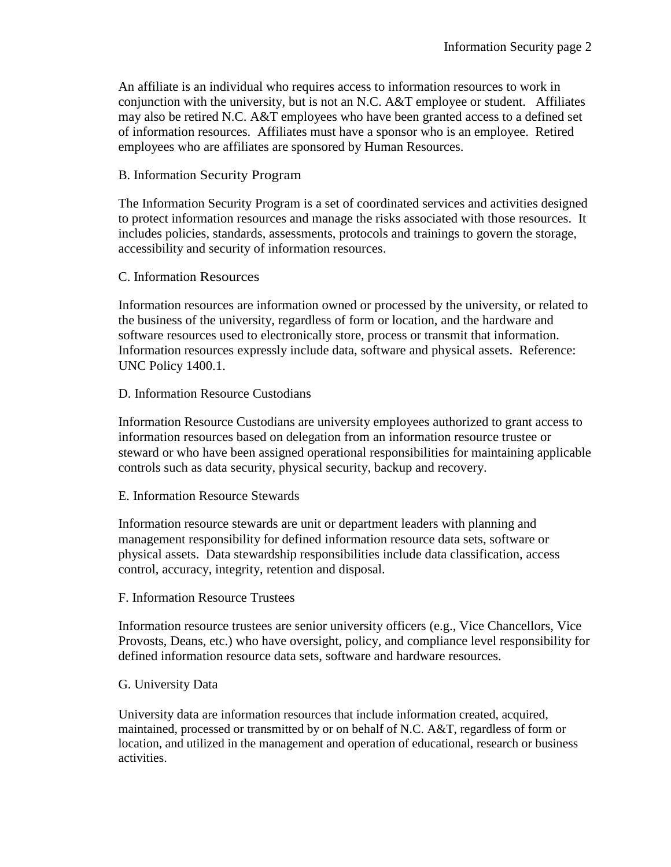An affiliate is an individual who requires access to information resources to work in conjunction with the university, but is not an N.C. A&T employee or student. Affiliates may also be retired N.C. A&T employees who have been granted access to a defined set of information resources. Affiliates must have a sponsor who is an employee. Retired employees who are affiliates are sponsored by Human Resources.

# B. Information Security Program

The Information Security Program is a set of coordinated services and activities designed to protect information resources and manage the risks associated with those resources. It includes policies, standards, assessments, protocols and trainings to govern the storage, accessibility and security of information resources.

# C. Information Resources

Information resources are information owned or processed by the university, or related to the business of the university, regardless of form or location, and the hardware and software resources used to electronically store, process or transmit that information. Information resources expressly include data, software and physical assets. Reference: UNC Policy 1400.1.

# D. Information Resource Custodians

Information Resource Custodians are university employees authorized to grant access to information resources based on delegation from an information resource trustee or steward or who have been assigned operational responsibilities for maintaining applicable controls such as data security, physical security, backup and recovery.

# E. Information Resource Stewards

Information resource stewards are unit or department leaders with planning and management responsibility for defined information resource data sets, software or physical assets. Data stewardship responsibilities include data classification, access control, accuracy, integrity, retention and disposal.

# F. Information Resource Trustees

Information resource trustees are senior university officers (e.g., Vice Chancellors, Vice Provosts, Deans, etc.) who have oversight, policy, and compliance level responsibility for defined information resource data sets, software and hardware resources.

# G. University Data

University data are information resources that include information created, acquired, maintained, processed or transmitted by or on behalf of N.C. A&T, regardless of form or location, and utilized in the management and operation of educational, research or business activities.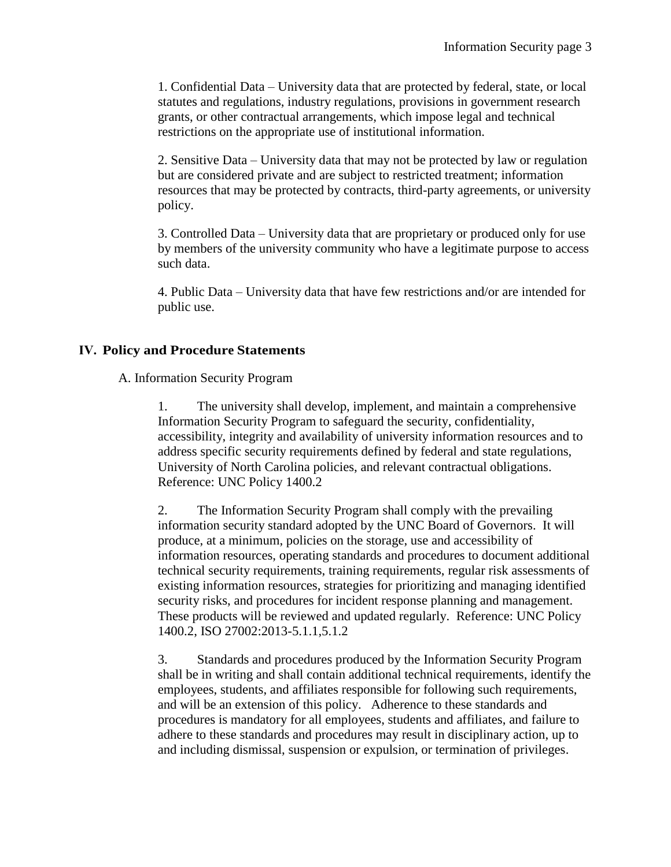1. Confidential Data – University data that are protected by federal, state, or local statutes and regulations, industry regulations, provisions in government research grants, or other contractual arrangements, which impose legal and technical restrictions on the appropriate use of institutional information.

2. Sensitive Data – University data that may not be protected by law or regulation but are considered private and are subject to restricted treatment; information resources that may be protected by contracts, third-party agreements, or university policy.

3. Controlled Data – University data that are proprietary or produced only for use by members of the university community who have a legitimate purpose to access such data.

4. Public Data – University data that have few restrictions and/or are intended for public use.

# **IV. Policy and Procedure Statements**

# A. Information Security Program

1. The university shall develop, implement, and maintain a comprehensive Information Security Program to safeguard the security, confidentiality, accessibility, integrity and availability of university information resources and to address specific security requirements defined by federal and state regulations, University of North Carolina policies, and relevant contractual obligations. Reference: UNC Policy 1400.2

2. The Information Security Program shall comply with the prevailing information security standard adopted by the UNC Board of Governors. It will produce, at a minimum, policies on the storage, use and accessibility of information resources, operating standards and procedures to document additional technical security requirements, training requirements, regular risk assessments of existing information resources, strategies for prioritizing and managing identified security risks, and procedures for incident response planning and management. These products will be reviewed and updated regularly. Reference: UNC Policy 1400.2, ISO 27002:2013-5.1.1,5.1.2

3. Standards and procedures produced by the Information Security Program shall be in writing and shall contain additional technical requirements, identify the employees, students, and affiliates responsible for following such requirements, and will be an extension of this policy. Adherence to these standards and procedures is mandatory for all employees, students and affiliates, and failure to adhere to these standards and procedures may result in disciplinary action, up to and including dismissal, suspension or expulsion, or termination of privileges.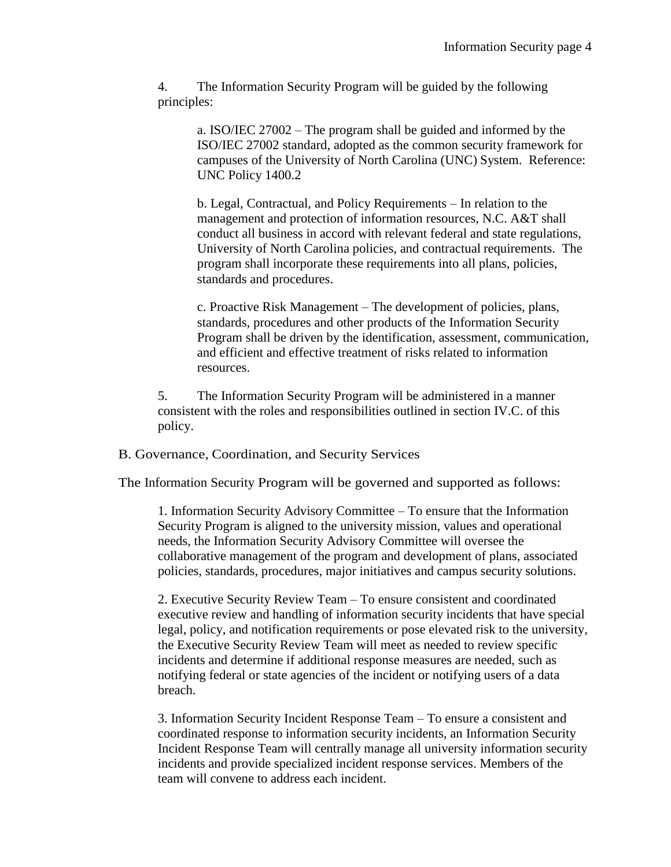4. The Information Security Program will be guided by the following principles:

> a. ISO/IEC 27002 – The program shall be guided and informed by the ISO/IEC 27002 standard, adopted as the common security framework for campuses of the University of North Carolina (UNC) System. Reference: UNC Policy 1400.2

> b. Legal, Contractual, and Policy Requirements – In relation to the management and protection of information resources, N.C. A&T shall conduct all business in accord with relevant federal and state regulations, University of North Carolina policies, and contractual requirements. The program shall incorporate these requirements into all plans, policies, standards and procedures.

c. Proactive Risk Management – The development of policies, plans, standards, procedures and other products of the Information Security Program shall be driven by the identification, assessment, communication, and efficient and effective treatment of risks related to information resources.

5. The Information Security Program will be administered in a manner consistent with the roles and responsibilities outlined in section IV.C. of this policy.

B. Governance, Coordination, and Security Services

The Information Security Program will be governed and supported as follows:

1. Information Security Advisory Committee – To ensure that the Information Security Program is aligned to the university mission, values and operational needs, the Information Security Advisory Committee will oversee the collaborative management of the program and development of plans, associated policies, standards, procedures, major initiatives and campus security solutions.

2. Executive Security Review Team – To ensure consistent and coordinated executive review and handling of information security incidents that have special legal, policy, and notification requirements or pose elevated risk to the university, the Executive Security Review Team will meet as needed to review specific incidents and determine if additional response measures are needed, such as notifying federal or state agencies of the incident or notifying users of a data breach.

3. Information Security Incident Response Team – To ensure a consistent and coordinated response to information security incidents, an Information Security Incident Response Team will centrally manage all university information security incidents and provide specialized incident response services. Members of the team will convene to address each incident.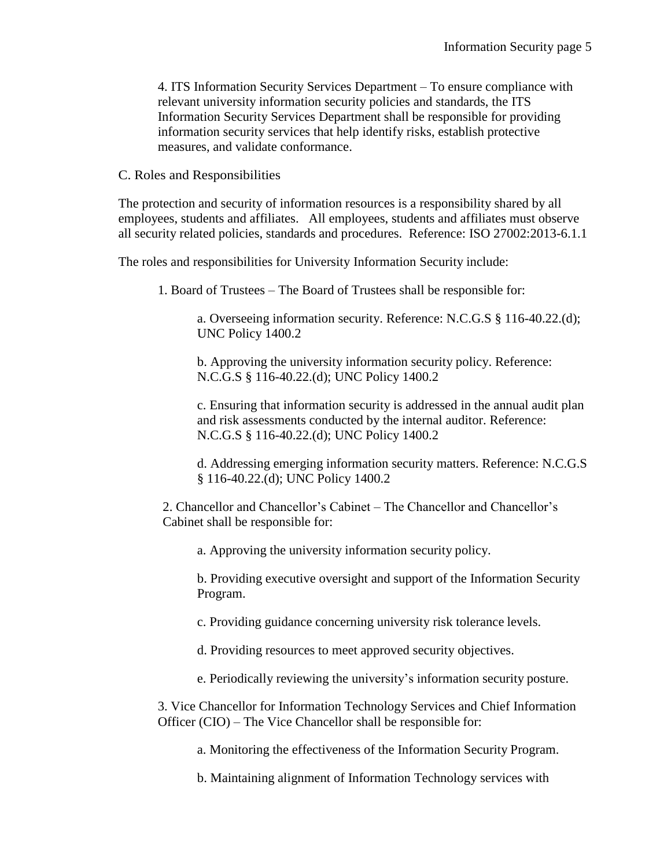4. ITS Information Security Services Department – To ensure compliance with relevant university information security policies and standards, the ITS Information Security Services Department shall be responsible for providing information security services that help identify risks, establish protective measures, and validate conformance.

C. Roles and Responsibilities

The protection and security of information resources is a responsibility shared by all employees, students and affiliates. All employees, students and affiliates must observe all security related policies, standards and procedures. Reference: ISO 27002:2013-6.1.1

The roles and responsibilities for University Information Security include:

1. Board of Trustees – The Board of Trustees shall be responsible for:

a. Overseeing information security. Reference: N.C.G.S § 116-40.22.(d); UNC Policy 1400.2

b. Approving the university information security policy. Reference: N.C.G.S § 116-40.22.(d); UNC Policy 1400.2

c. Ensuring that information security is addressed in the annual audit plan and risk assessments conducted by the internal auditor. Reference: N.C.G.S § 116-40.22.(d); UNC Policy 1400.2

d. Addressing emerging information security matters. Reference: N.C.G.S § 116-40.22.(d); UNC Policy 1400.2

2. Chancellor and Chancellor's Cabinet – The Chancellor and Chancellor's Cabinet shall be responsible for:

a. Approving the university information security policy.

b. Providing executive oversight and support of the Information Security Program.

c. Providing guidance concerning university risk tolerance levels.

d. Providing resources to meet approved security objectives.

e. Periodically reviewing the university's information security posture.

3. Vice Chancellor for Information Technology Services and Chief Information Officer (CIO) – The Vice Chancellor shall be responsible for:

a. Monitoring the effectiveness of the Information Security Program.

b. Maintaining alignment of Information Technology services with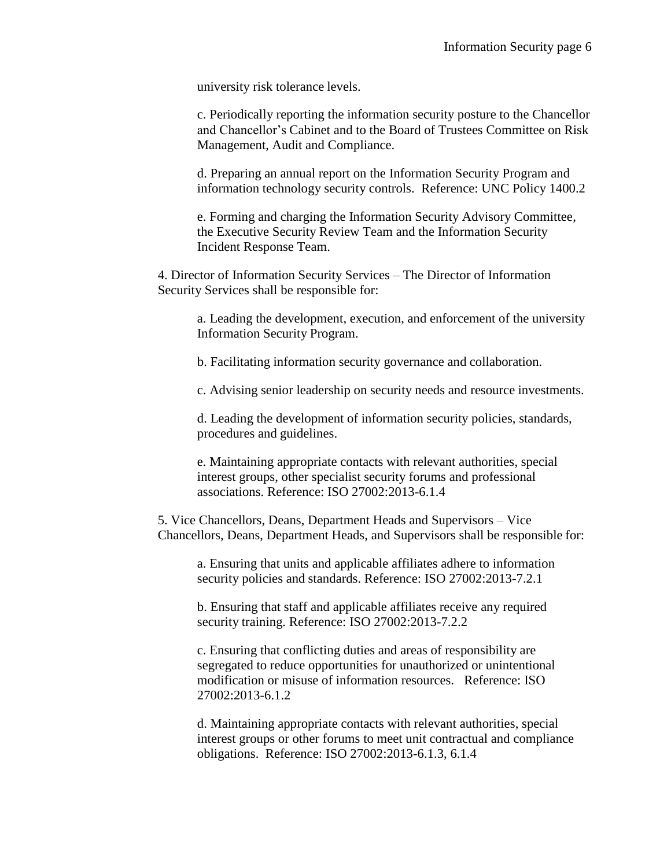university risk tolerance levels.

c. Periodically reporting the information security posture to the Chancellor and Chancellor's Cabinet and to the Board of Trustees Committee on Risk Management, Audit and Compliance.

d. Preparing an annual report on the Information Security Program and information technology security controls. Reference: UNC Policy 1400.2

e. Forming and charging the Information Security Advisory Committee, the Executive Security Review Team and the Information Security Incident Response Team.

4. Director of Information Security Services – The Director of Information Security Services shall be responsible for:

a. Leading the development, execution, and enforcement of the university Information Security Program.

b. Facilitating information security governance and collaboration.

c. Advising senior leadership on security needs and resource investments.

d. Leading the development of information security policies, standards, procedures and guidelines.

e. Maintaining appropriate contacts with relevant authorities, special interest groups, other specialist security forums and professional associations. Reference: ISO 27002:2013-6.1.4

5. Vice Chancellors, Deans, Department Heads and Supervisors – Vice Chancellors, Deans, Department Heads, and Supervisors shall be responsible for:

a. Ensuring that units and applicable affiliates adhere to information security policies and standards. Reference: ISO 27002:2013-7.2.1

b. Ensuring that staff and applicable affiliates receive any required security training. Reference: ISO 27002:2013-7.2.2

c. Ensuring that conflicting duties and areas of responsibility are segregated to reduce opportunities for unauthorized or unintentional modification or misuse of information resources. Reference: ISO 27002:2013-6.1.2

d. Maintaining appropriate contacts with relevant authorities, special interest groups or other forums to meet unit contractual and compliance obligations. Reference: ISO 27002:2013-6.1.3, 6.1.4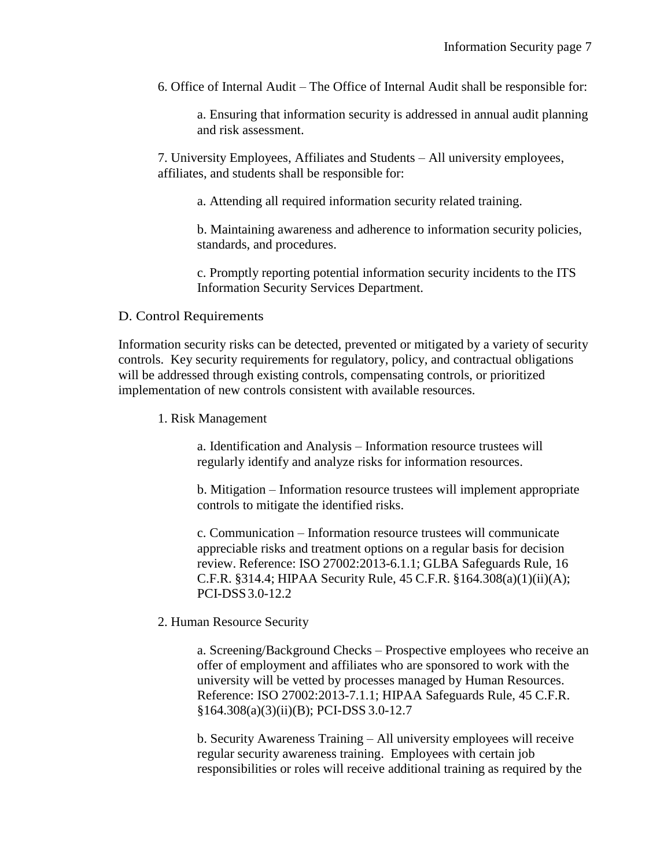6. Office of Internal Audit – The Office of Internal Audit shall be responsible for:

a. Ensuring that information security is addressed in annual audit planning and risk assessment.

7. University Employees, Affiliates and Students – All university employees, affiliates, and students shall be responsible for:

a. Attending all required information security related training.

b. Maintaining awareness and adherence to information security policies, standards, and procedures.

c. Promptly reporting potential information security incidents to the ITS Information Security Services Department.

## D. Control Requirements

Information security risks can be detected, prevented or mitigated by a variety of security controls. Key security requirements for regulatory, policy, and contractual obligations will be addressed through existing controls, compensating controls, or prioritized implementation of new controls consistent with available resources.

1. Risk Management

a. Identification and Analysis – Information resource trustees will regularly identify and analyze risks for information resources.

b. Mitigation – Information resource trustees will implement appropriate controls to mitigate the identified risks.

c. Communication – Information resource trustees will communicate appreciable risks and treatment options on a regular basis for decision review. Reference: ISO 27002:2013-6.1.1; GLBA Safeguards Rule, 16 C.F.R. §314.4; HIPAA Security Rule, 45 C.F.R. §164.308(a)(1)(ii)(A); PCI-DSS3.0-12.2

# 2. Human Resource Security

a. Screening/Background Checks – Prospective employees who receive an offer of employment and affiliates who are sponsored to work with the university will be vetted by processes managed by Human Resources. Reference: ISO 27002:2013-7.1.1; HIPAA Safeguards Rule, 45 C.F.R. §164.308(a)(3)(ii)(B); PCI-DSS 3.0-12.7

b. Security Awareness Training – All university employees will receive regular security awareness training. Employees with certain job responsibilities or roles will receive additional training as required by the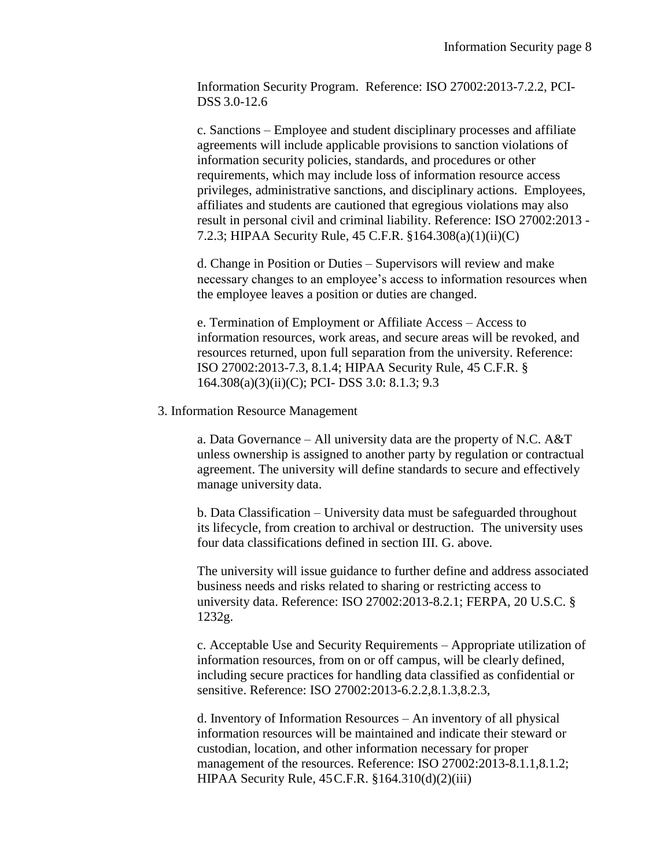Information Security Program. Reference: ISO 27002:2013-7.2.2, PCI-DSS 3.0-12.6

c. Sanctions – Employee and student disciplinary processes and affiliate agreements will include applicable provisions to sanction violations of information security policies, standards, and procedures or other requirements, which may include loss of information resource access privileges, administrative sanctions, and disciplinary actions. Employees, affiliates and students are cautioned that egregious violations may also result in personal civil and criminal liability. Reference: ISO 27002:2013 - 7.2.3; HIPAA Security Rule, 45 C.F.R. §164.308(a)(1)(ii)(C)

d. Change in Position or Duties – Supervisors will review and make necessary changes to an employee's access to information resources when the employee leaves a position or duties are changed.

e. Termination of Employment or Affiliate Access – Access to information resources, work areas, and secure areas will be revoked, and resources returned, upon full separation from the university. Reference: ISO 27002:2013-7.3, 8.1.4; HIPAA Security Rule, 45 C.F.R. § 164.308(a)(3)(ii)(C); PCI- DSS 3.0: 8.1.3; 9.3

#### 3. Information Resource Management

a. Data Governance – All university data are the property of N.C. A&T unless ownership is assigned to another party by regulation or contractual agreement. The university will define standards to secure and effectively manage university data.

b. Data Classification – University data must be safeguarded throughout its lifecycle, from creation to archival or destruction. The university uses four data classifications defined in section III. G. above.

The university will issue guidance to further define and address associated business needs and risks related to sharing or restricting access to university data. Reference: ISO 27002:2013-8.2.1; FERPA, 20 U.S.C. § 1232g.

c. Acceptable Use and Security Requirements – Appropriate utilization of information resources, from on or off campus, will be clearly defined, including secure practices for handling data classified as confidential or sensitive. Reference: ISO 27002:2013-6.2.2,8.1.3,8.2.3,

d. Inventory of Information Resources – An inventory of all physical information resources will be maintained and indicate their steward or custodian, location, and other information necessary for proper management of the resources. Reference: ISO 27002:2013-8.1.1,8.1.2; HIPAA Security Rule, 45C.F.R. §164.310(d)(2)(iii)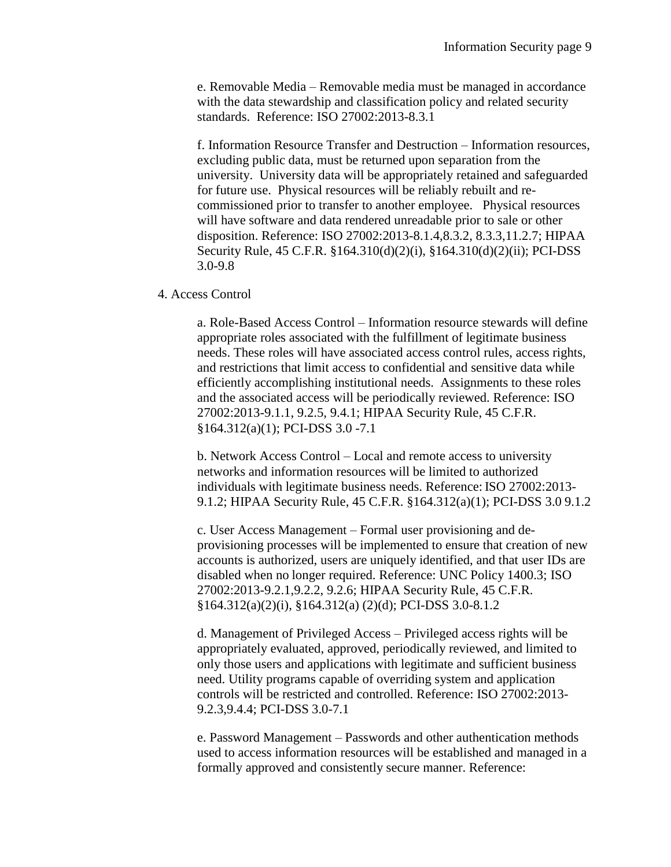e. Removable Media – Removable media must be managed in accordance with the data stewardship and classification policy and related security standards. Reference: ISO 27002:2013-8.3.1

f. Information Resource Transfer and Destruction – Information resources, excluding public data, must be returned upon separation from the university. University data will be appropriately retained and safeguarded for future use. Physical resources will be reliably rebuilt and recommissioned prior to transfer to another employee. Physical resources will have software and data rendered unreadable prior to sale or other disposition. Reference: ISO 27002:2013-8.1.4,8.3.2, 8.3.3,11.2.7; HIPAA Security Rule, 45 C.F.R. §164.310(d)(2)(i), §164.310(d)(2)(ii); PCI-DSS 3.0-9.8

4. Access Control

a. Role-Based Access Control – Information resource stewards will define appropriate roles associated with the fulfillment of legitimate business needs. These roles will have associated access control rules, access rights, and restrictions that limit access to confidential and sensitive data while efficiently accomplishing institutional needs. Assignments to these roles and the associated access will be periodically reviewed. Reference: ISO 27002:2013-9.1.1, 9.2.5, 9.4.1; HIPAA Security Rule, 45 C.F.R. §164.312(a)(1); PCI-DSS 3.0 -7.1

b. Network Access Control – Local and remote access to university networks and information resources will be limited to authorized individuals with legitimate business needs. Reference: ISO 27002:2013- 9.1.2; HIPAA Security Rule, 45 C.F.R. §164.312(a)(1); PCI-DSS 3.0 9.1.2

c. User Access Management – Formal user provisioning and deprovisioning processes will be implemented to ensure that creation of new accounts is authorized, users are uniquely identified, and that user IDs are disabled when no longer required. Reference: UNC Policy 1400.3; ISO 27002:2013-9.2.1,9.2.2, 9.2.6; HIPAA Security Rule, 45 C.F.R. §164.312(a)(2)(i), §164.312(a) (2)(d); PCI-DSS 3.0-8.1.2

d. Management of Privileged Access – Privileged access rights will be appropriately evaluated, approved, periodically reviewed, and limited to only those users and applications with legitimate and sufficient business need. Utility programs capable of overriding system and application controls will be restricted and controlled. Reference: ISO 27002:2013- 9.2.3,9.4.4; PCI-DSS 3.0-7.1

e. Password Management – Passwords and other authentication methods used to access information resources will be established and managed in a formally approved and consistently secure manner. Reference: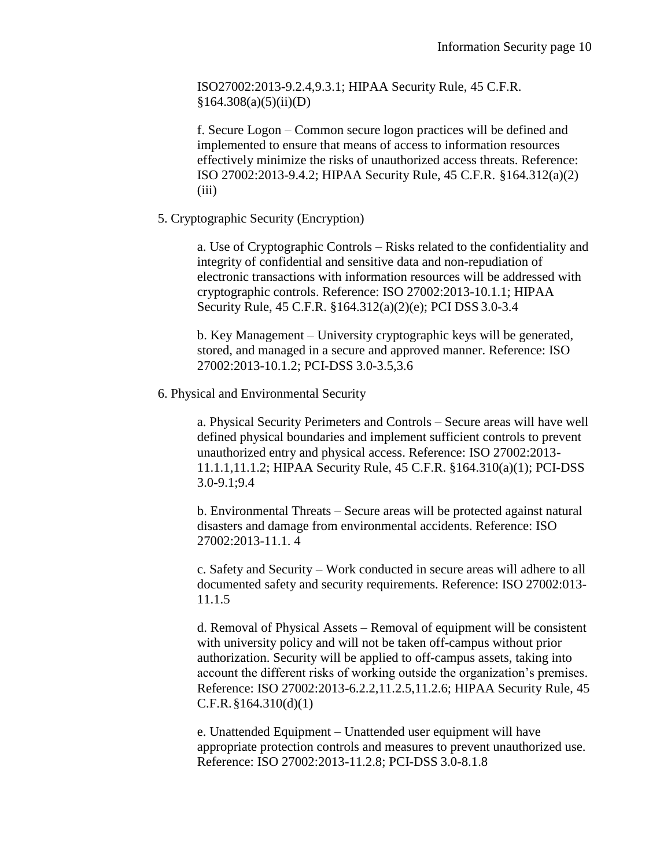ISO27002:2013-9.2.4,9.3.1; HIPAA Security Rule, 45 C.F.R.  $§164.308(a)(5)(ii)(D)$ 

f. Secure Logon – Common secure logon practices will be defined and implemented to ensure that means of access to information resources effectively minimize the risks of unauthorized access threats. Reference: ISO 27002:2013-9.4.2; HIPAA Security Rule, 45 C.F.R. §164.312(a)(2) (iii)

5. Cryptographic Security (Encryption)

a. Use of Cryptographic Controls – Risks related to the confidentiality and integrity of confidential and sensitive data and non-repudiation of electronic transactions with information resources will be addressed with cryptographic controls. Reference: ISO 27002:2013-10.1.1; HIPAA Security Rule, 45 C.F.R. §164.312(a)(2)(e); PCI DSS 3.0-3.4

b. Key Management – University cryptographic keys will be generated, stored, and managed in a secure and approved manner. Reference: ISO 27002:2013-10.1.2; PCI-DSS 3.0-3.5,3.6

6. Physical and Environmental Security

a. Physical Security Perimeters and Controls – Secure areas will have well defined physical boundaries and implement sufficient controls to prevent unauthorized entry and physical access. Reference: ISO 27002:2013- 11.1.1,11.1.2; HIPAA Security Rule, 45 C.F.R. §164.310(a)(1); PCI-DSS 3.0-9.1;9.4

b. Environmental Threats – Secure areas will be protected against natural disasters and damage from environmental accidents. Reference: ISO 27002:2013-11.1. 4

c. Safety and Security – Work conducted in secure areas will adhere to all documented safety and security requirements. Reference: ISO 27002:013- 11.1.5

d. Removal of Physical Assets – Removal of equipment will be consistent with university policy and will not be taken off-campus without prior authorization. Security will be applied to off-campus assets, taking into account the different risks of working outside the organization's premises. Reference: ISO 27002:2013-6.2.2,11.2.5,11.2.6; HIPAA Security Rule, 45 C.F.R.§164.310(d)(1)

e. Unattended Equipment – Unattended user equipment will have appropriate protection controls and measures to prevent unauthorized use. Reference: ISO 27002:2013-11.2.8; PCI-DSS 3.0-8.1.8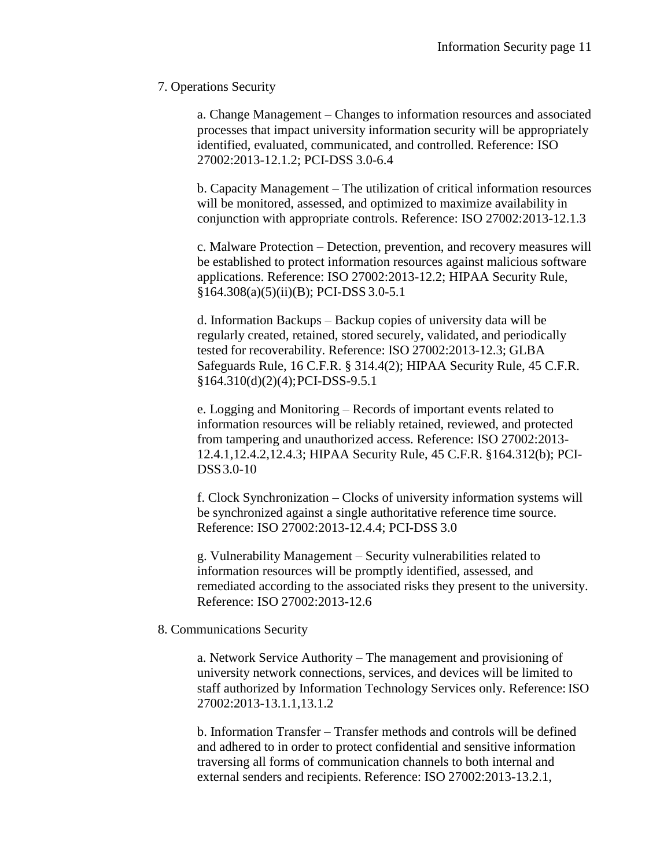## 7. Operations Security

a. Change Management – Changes to information resources and associated processes that impact university information security will be appropriately identified, evaluated, communicated, and controlled. Reference: ISO 27002:2013-12.1.2; PCI-DSS 3.0-6.4

b. Capacity Management – The utilization of critical information resources will be monitored, assessed, and optimized to maximize availability in conjunction with appropriate controls. Reference: ISO 27002:2013-12.1.3

c. Malware Protection – Detection, prevention, and recovery measures will be established to protect information resources against malicious software applications. Reference: ISO 27002:2013-12.2; HIPAA Security Rule, §164.308(a)(5)(ii)(B); PCI-DSS 3.0-5.1

d. Information Backups – Backup copies of university data will be regularly created, retained, stored securely, validated, and periodically tested for recoverability. Reference: ISO 27002:2013-12.3; GLBA Safeguards Rule, 16 C.F.R. § 314.4(2); HIPAA Security Rule, 45 C.F.R. §164.310(d)(2)(4); PCI-DSS-9.5.1

e. Logging and Monitoring – Records of important events related to information resources will be reliably retained, reviewed, and protected from tampering and unauthorized access. Reference: ISO 27002:2013- 12.4.1,12.4.2,12.4.3; HIPAA Security Rule, 45 C.F.R. §164.312(b); PCI-DSS3.0-10

f. Clock Synchronization – Clocks of university information systems will be synchronized against a single authoritative reference time source. Reference: ISO 27002:2013-12.4.4; PCI-DSS 3.0

g. Vulnerability Management – Security vulnerabilities related to information resources will be promptly identified, assessed, and remediated according to the associated risks they present to the university. Reference: ISO 27002:2013-12.6

#### 8. Communications Security

a. Network Service Authority – The management and provisioning of university network connections, services, and devices will be limited to staff authorized by Information Technology Services only. Reference: ISO 27002:2013-13.1.1,13.1.2

b. Information Transfer – Transfer methods and controls will be defined and adhered to in order to protect confidential and sensitive information traversing all forms of communication channels to both internal and external senders and recipients. Reference: ISO 27002:2013-13.2.1,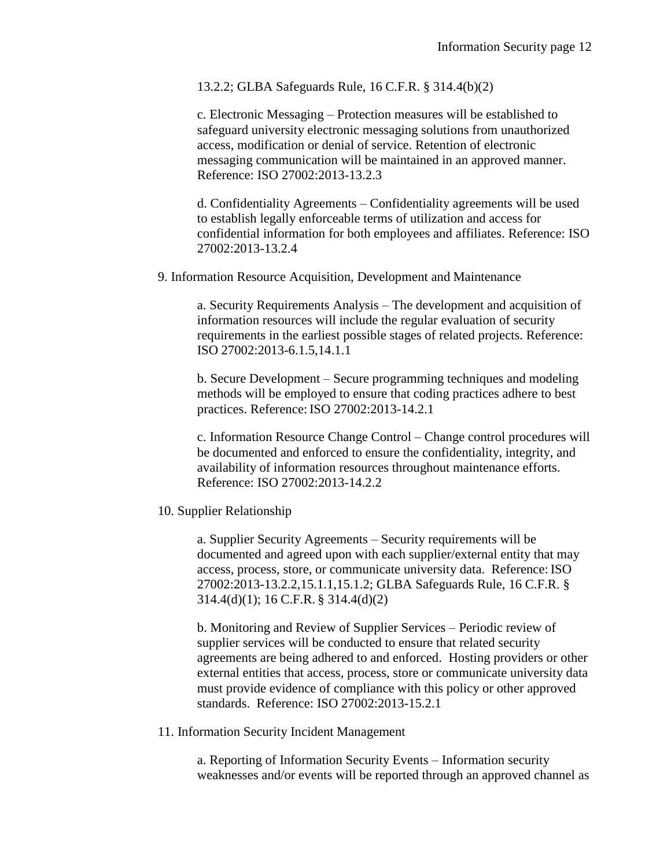13.2.2; GLBA Safeguards Rule, 16 C.F.R. § 314.4(b)(2)

c. Electronic Messaging – Protection measures will be established to safeguard university electronic messaging solutions from unauthorized access, modification or denial of service. Retention of electronic messaging communication will be maintained in an approved manner. Reference: ISO 27002:2013-13.2.3

d. Confidentiality Agreements – Confidentiality agreements will be used to establish legally enforceable terms of utilization and access for confidential information for both employees and affiliates. Reference: ISO 27002:2013-13.2.4

9. Information Resource Acquisition, Development and Maintenance

a. Security Requirements Analysis – The development and acquisition of information resources will include the regular evaluation of security requirements in the earliest possible stages of related projects. Reference: ISO 27002:2013-6.1.5,14.1.1

b. Secure Development – Secure programming techniques and modeling methods will be employed to ensure that coding practices adhere to best practices. Reference:ISO 27002:2013-14.2.1

c. Information Resource Change Control – Change control procedures will be documented and enforced to ensure the confidentiality, integrity, and availability of information resources throughout maintenance efforts. Reference: ISO 27002:2013-14.2.2

## 10. Supplier Relationship

a. Supplier Security Agreements – Security requirements will be documented and agreed upon with each supplier/external entity that may access, process, store, or communicate university data. Reference: ISO 27002:2013-13.2.2,15.1.1,15.1.2; GLBA Safeguards Rule, 16 C.F.R. § 314.4(d)(1); 16 C.F.R. § 314.4(d)(2)

b. Monitoring and Review of Supplier Services – Periodic review of supplier services will be conducted to ensure that related security agreements are being adhered to and enforced. Hosting providers or other external entities that access, process, store or communicate university data must provide evidence of compliance with this policy or other approved standards. Reference: ISO 27002:2013-15.2.1

#### 11. Information Security Incident Management

a. Reporting of Information Security Events – Information security weaknesses and/or events will be reported through an approved channel as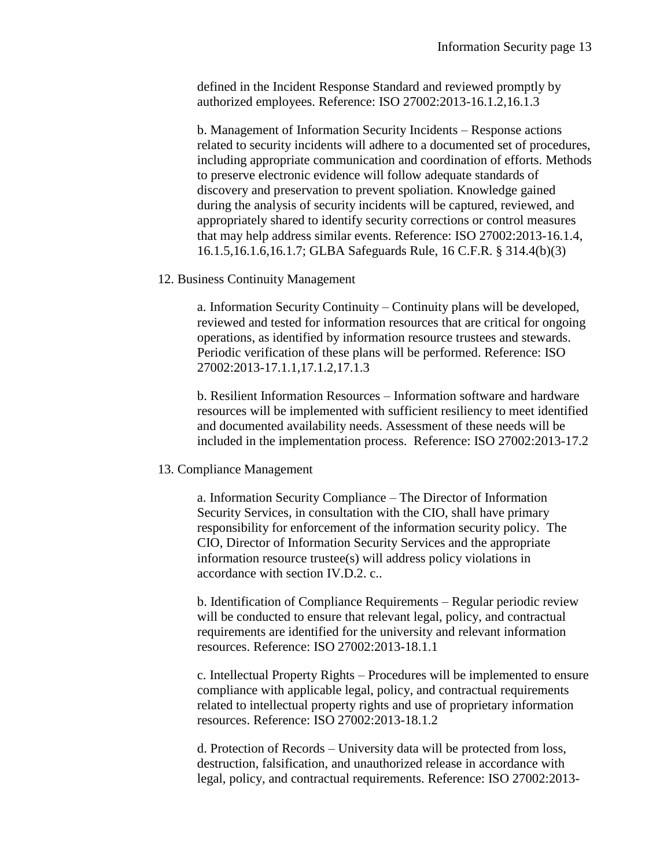defined in the Incident Response Standard and reviewed promptly by authorized employees. Reference: ISO 27002:2013-16.1.2,16.1.3

b. Management of Information Security Incidents – Response actions related to security incidents will adhere to a documented set of procedures, including appropriate communication and coordination of efforts. Methods to preserve electronic evidence will follow adequate standards of discovery and preservation to prevent spoliation. Knowledge gained during the analysis of security incidents will be captured, reviewed, and appropriately shared to identify security corrections or control measures that may help address similar events. Reference: ISO 27002:2013-16.1.4, 16.1.5,16.1.6,16.1.7; GLBA Safeguards Rule, 16 C.F.R. § 314.4(b)(3)

#### 12. Business Continuity Management

a. Information Security Continuity – Continuity plans will be developed, reviewed and tested for information resources that are critical for ongoing operations, as identified by information resource trustees and stewards. Periodic verification of these plans will be performed. Reference: ISO 27002:2013-17.1.1,17.1.2,17.1.3

b. Resilient Information Resources – Information software and hardware resources will be implemented with sufficient resiliency to meet identified and documented availability needs. Assessment of these needs will be included in the implementation process. Reference: ISO 27002:2013-17.2

# 13. Compliance Management

a. Information Security Compliance – The Director of Information Security Services, in consultation with the CIO, shall have primary responsibility for enforcement of the information security policy. The CIO, Director of Information Security Services and the appropriate information resource trustee(s) will address policy violations in accordance with section IV.D.2. c..

b. Identification of Compliance Requirements – Regular periodic review will be conducted to ensure that relevant legal, policy, and contractual requirements are identified for the university and relevant information resources. Reference: ISO 27002:2013-18.1.1

c. Intellectual Property Rights – Procedures will be implemented to ensure compliance with applicable legal, policy, and contractual requirements related to intellectual property rights and use of proprietary information resources. Reference: ISO 27002:2013-18.1.2

d. Protection of Records – University data will be protected from loss, destruction, falsification, and unauthorized release in accordance with legal, policy, and contractual requirements. Reference: ISO 27002:2013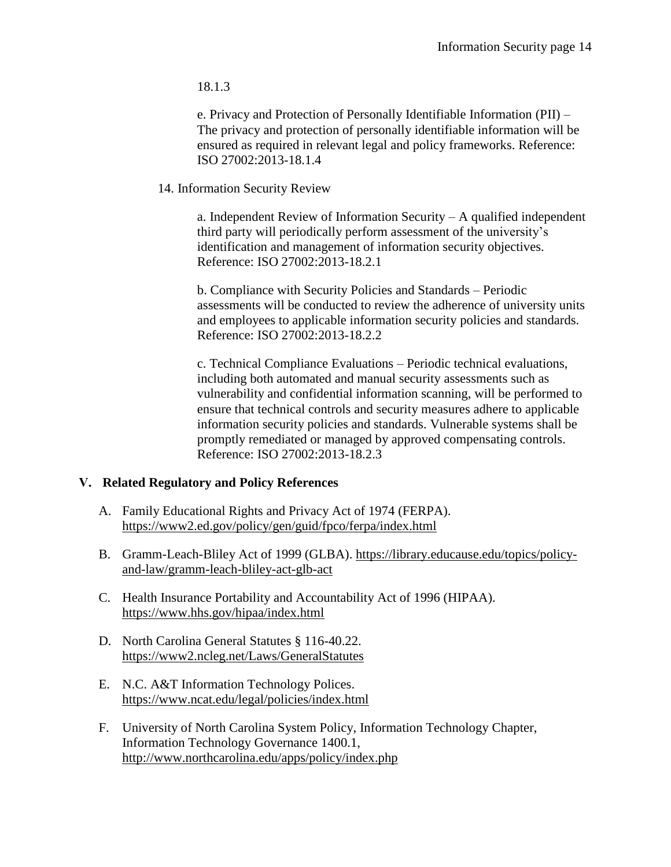18.1.3

e. Privacy and Protection of Personally Identifiable Information (PII) – The privacy and protection of personally identifiable information will be ensured as required in relevant legal and policy frameworks. Reference: ISO 27002:2013-18.1.4

## 14. Information Security Review

a. Independent Review of Information Security – A qualified independent third party will periodically perform assessment of the university's identification and management of information security objectives. Reference: ISO 27002:2013-18.2.1

b. Compliance with Security Policies and Standards – Periodic assessments will be conducted to review the adherence of university units and employees to applicable information security policies and standards. Reference: ISO 27002:2013-18.2.2

c. Technical Compliance Evaluations – Periodic technical evaluations, including both automated and manual security assessments such as vulnerability and confidential information scanning, will be performed to ensure that technical controls and security measures adhere to applicable information security policies and standards. Vulnerable systems shall be promptly remediated or managed by approved compensating controls. Reference: ISO 27002:2013-18.2.3

# **V. Related Regulatory and Policy References**

- A. Family Educational Rights and Privacy Act of 1974 (FERPA). <https://www2.ed.gov/policy/gen/guid/fpco/ferpa/index.html>
- B. Gramm-Leach-Bliley Act of 1999 (GLBA). [https://library.educause.edu/topics/policy](https://library.educause.edu/topics/policy-and-law/gramm-leach-bliley-act-glb-act)[and-law/gramm-leach-bliley-act-glb-act](https://library.educause.edu/topics/policy-and-law/gramm-leach-bliley-act-glb-act)
- C. Health Insurance Portability and Accountability Act of 1996 (HIPAA). <https://www.hhs.gov/hipaa/index.html>
- D. North Carolina General Statutes § 116-40.22. <https://www2.ncleg.net/Laws/GeneralStatutes>
- E. N.C. A&T Information Technology Polices. <https://www.ncat.edu/legal/policies/index.html>
- F. University of North Carolina System Policy, Information Technology Chapter, Information Technology Governance 1400.1, <http://www.northcarolina.edu/apps/policy/index.php>